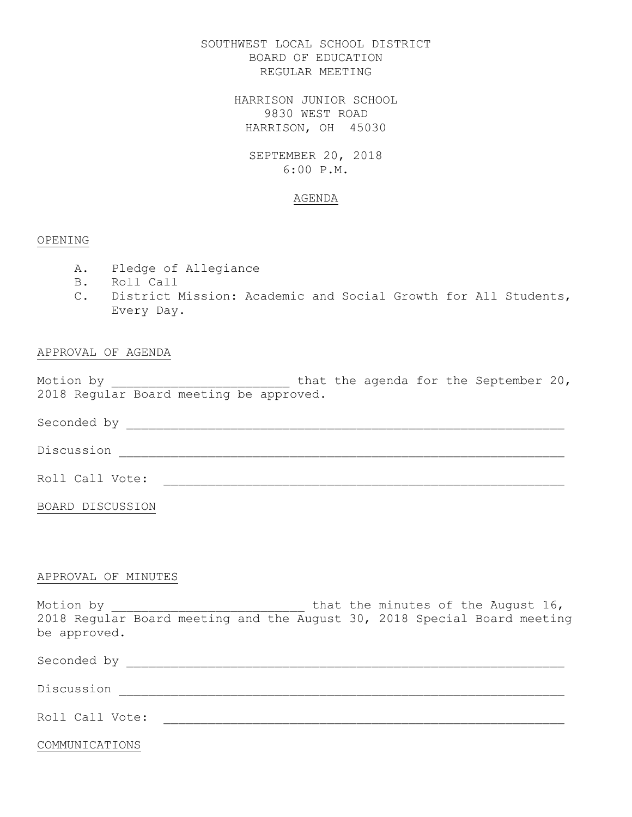SOUTHWEST LOCAL SCHOOL DISTRICT BOARD OF EDUCATION REGULAR MEETING

> HARRISON JUNIOR SCHOOL 9830 WEST ROAD HARRISON, OH 45030

SEPTEMBER 20, 2018 6:00 P.M.

## AGENDA

## OPENING

- A. Pledge of Allegiance
- B. Roll Call
- C. District Mission: Academic and Social Growth for All Students, Every Day.

## APPROVAL OF AGENDA

Motion by \_\_\_\_\_\_\_\_\_\_\_\_\_\_\_\_\_\_\_\_\_\_\_\_\_\_\_ that the agenda for the September 20, 2018 Regular Board meeting be approved.

Seconded by \_\_\_\_\_\_\_\_\_\_\_\_\_\_\_\_\_\_\_\_\_\_\_\_\_\_\_\_\_\_\_\_\_\_\_\_\_\_\_\_\_\_\_\_\_\_\_\_\_\_\_\_\_\_\_\_\_\_\_

Discussion \_\_\_\_\_\_\_\_\_\_\_\_\_\_\_\_\_\_\_\_\_\_\_\_\_\_\_\_\_\_\_\_\_\_\_\_\_\_\_\_\_\_\_\_\_\_\_\_\_\_\_\_\_\_\_\_\_\_\_\_

Roll Call Vote: \_\_\_\_\_\_\_\_\_\_\_\_\_\_\_\_\_\_\_\_\_\_\_\_\_\_\_\_\_\_\_\_\_\_\_\_\_\_\_\_\_\_\_\_\_\_\_\_\_\_\_\_\_\_

BOARD DISCUSSION

#### APPROVAL OF MINUTES

Motion by  $\qquad \qquad$  that the minutes of the August 16, 2018 Regular Board meeting and the August 30, 2018 Special Board meeting be approved.

Seconded by \_\_\_\_\_\_\_\_\_\_\_\_\_\_\_\_\_\_\_\_\_\_\_\_\_\_\_\_\_\_\_\_\_\_\_\_\_\_\_\_\_\_\_\_\_\_\_\_\_\_\_\_\_\_\_\_\_\_\_

Discussion \_\_\_\_\_\_\_\_\_\_\_\_\_\_\_\_\_\_\_\_\_\_\_\_\_\_\_\_\_\_\_\_\_\_\_\_\_\_\_\_\_\_\_\_\_\_\_\_\_\_\_\_\_\_\_\_\_\_\_\_

Roll Call Vote: \_\_\_\_\_\_\_\_\_\_\_\_\_\_\_\_\_\_\_\_\_\_\_\_\_\_\_\_\_\_\_\_\_\_\_\_\_\_\_\_\_\_\_\_\_\_\_\_\_\_\_\_\_\_

COMMUNICATIONS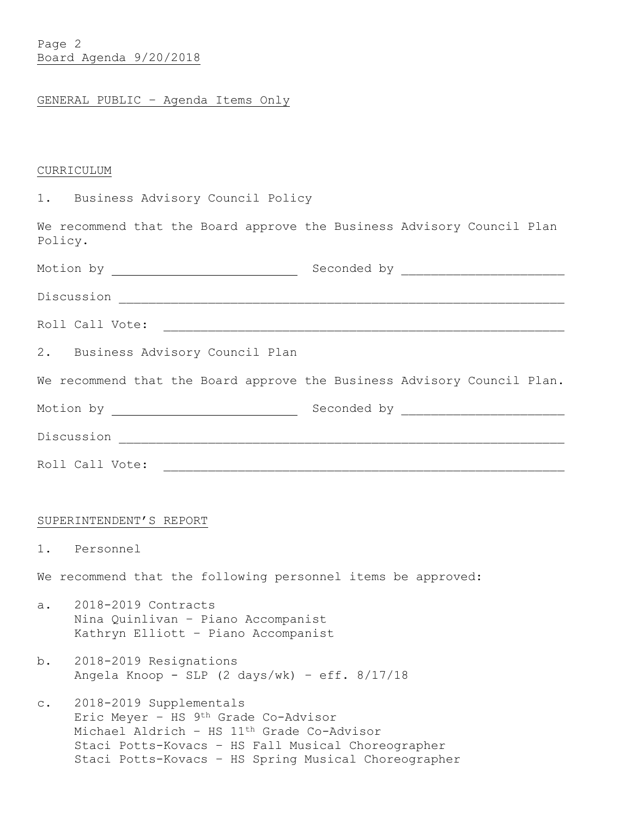Page 2 Board Agenda 9/20/2018

# GENERAL PUBLIC – Agenda Items Only

# **CURRICULUM**

| <b>1.</b> |  | Business Advisory Council Policy |  |  |
|-----------|--|----------------------------------|--|--|
|-----------|--|----------------------------------|--|--|

We recommend that the Board approve the Business Advisory Council Plan Policy.

|                | Roll Call Vote:                                                                                                                                                                                                                         | <u> 1919 - 1929 - 1929 - 1929 - 1929 - 1929 - 1939 - 1939 - 1939 - 1930 - 1930 - 1930 - 1930 - 1930 - 1930 - 19</u> |
|----------------|-----------------------------------------------------------------------------------------------------------------------------------------------------------------------------------------------------------------------------------------|---------------------------------------------------------------------------------------------------------------------|
|                | 2. Business Advisory Council Plan                                                                                                                                                                                                       |                                                                                                                     |
|                |                                                                                                                                                                                                                                         | We recommend that the Board approve the Business Advisory Council Plan.                                             |
|                |                                                                                                                                                                                                                                         |                                                                                                                     |
|                |                                                                                                                                                                                                                                         |                                                                                                                     |
|                | Roll Call Vote:                                                                                                                                                                                                                         |                                                                                                                     |
|                |                                                                                                                                                                                                                                         |                                                                                                                     |
|                | SUPERINTENDENT'S REPORT                                                                                                                                                                                                                 |                                                                                                                     |
|                | 1. Personnel                                                                                                                                                                                                                            |                                                                                                                     |
|                | We recommend that the following personnel items be approved:                                                                                                                                                                            |                                                                                                                     |
| $a_{\bullet}$  | 2018-2019 Contracts<br>Nina Quinlivan - Piano Accompanist<br>Kathryn Elliott - Piano Accompanist                                                                                                                                        |                                                                                                                     |
| b.             | 2018-2019 Resignations<br>Angela Knoop - SLP $(2 \text{ days/wk})$ - eff. $8/17/18$                                                                                                                                                     |                                                                                                                     |
| $\mathsf{C}$ . | 2018-2019 Supplementals<br>Eric Meyer - HS 9th Grade Co-Advisor<br>Michael Aldrich - HS 11 <sup>th</sup> Grade Co-Advisor<br>Staci Potts-Kovacs - HS Fall Musical Choreographer<br>Staci Potts-Kovacs - HS Spring Musical Choreographer |                                                                                                                     |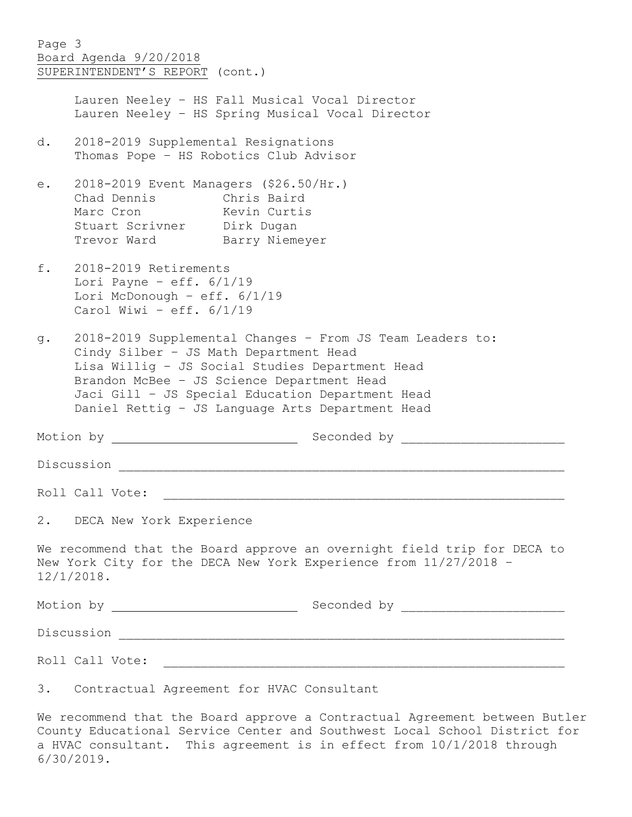| Page 3 | Board Agenda 9/20/2018<br>SUPERINTENDENT'S REPORT (cont.)                                                                                                                                                                                                                                                    |                                                                         |  |  |  |
|--------|--------------------------------------------------------------------------------------------------------------------------------------------------------------------------------------------------------------------------------------------------------------------------------------------------------------|-------------------------------------------------------------------------|--|--|--|
|        | Lauren Neeley - HS Fall Musical Vocal Director<br>Lauren Neeley - HS Spring Musical Vocal Director                                                                                                                                                                                                           |                                                                         |  |  |  |
| d.     | 2018-2019 Supplemental Resignations<br>Thomas Pope - HS Robotics Club Advisor                                                                                                                                                                                                                                |                                                                         |  |  |  |
| e.     | 2018-2019 Event Managers (\$26.50/Hr.)<br>Chad Dennis Chris Baird<br>Marc Cron Kevin Curtis<br>Stuart Scrivner Dirk Dugan<br>Trevor Ward Barry Niemeyer                                                                                                                                                      |                                                                         |  |  |  |
| f.     | 2018-2019 Retirements<br>Lori Payne - eff. $6/1/19$<br>Lori McDonough - eff. $6/1/19$<br>Carol Wiwi - eff. $6/1/19$                                                                                                                                                                                          |                                                                         |  |  |  |
| q.     | 2018-2019 Supplemental Changes - From JS Team Leaders to:<br>Cindy Silber - JS Math Department Head<br>Lisa Willig - JS Social Studies Department Head<br>Brandon McBee - JS Science Department Head<br>Jaci Gill - JS Special Education Department Head<br>Daniel Rettig - JS Language Arts Department Head |                                                                         |  |  |  |
|        |                                                                                                                                                                                                                                                                                                              |                                                                         |  |  |  |
|        | Discussion                                                                                                                                                                                                                                                                                                   |                                                                         |  |  |  |
|        | Roll Call Vote:                                                                                                                                                                                                                                                                                              |                                                                         |  |  |  |
|        | 2. DECA New York Experience                                                                                                                                                                                                                                                                                  |                                                                         |  |  |  |
|        | New York City for the DECA New York Experience from 11/27/2018 -<br>$12/1/2018$ .                                                                                                                                                                                                                            | We recommend that the Board approve an overnight field trip for DECA to |  |  |  |
|        |                                                                                                                                                                                                                                                                                                              |                                                                         |  |  |  |
|        |                                                                                                                                                                                                                                                                                                              |                                                                         |  |  |  |
|        |                                                                                                                                                                                                                                                                                                              |                                                                         |  |  |  |
|        | 3. Contractual Agreement for HVAC Consultant                                                                                                                                                                                                                                                                 |                                                                         |  |  |  |

We recommend that the Board approve a Contractual Agreement between Butler County Educational Service Center and Southwest Local School District for a HVAC consultant. This agreement is in effect from 10/1/2018 through 6/30/2019.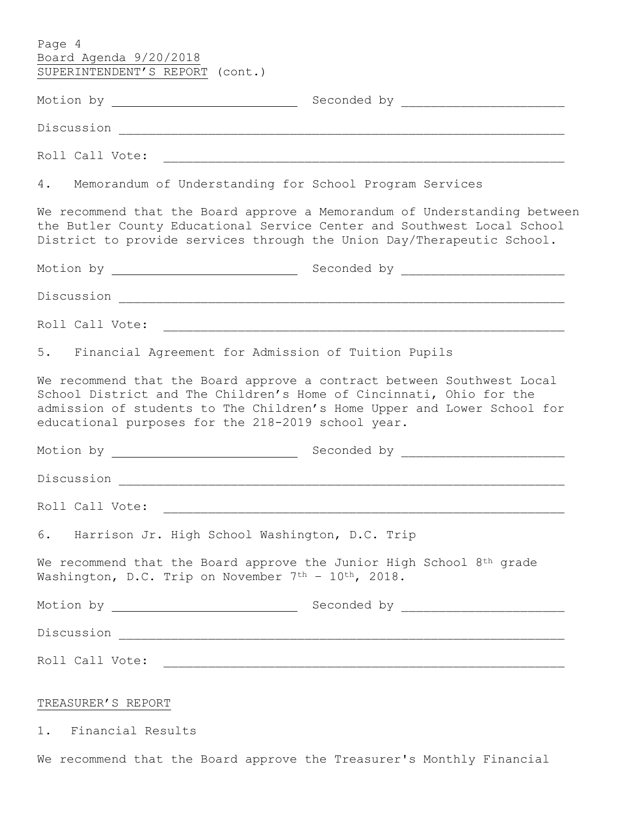| Page 4<br>Board Agenda 9/20/2018<br>SUPERINTENDENT'S REPORT (cont.)                                                                                                                                                                                                            |                                                                           |  |  |
|--------------------------------------------------------------------------------------------------------------------------------------------------------------------------------------------------------------------------------------------------------------------------------|---------------------------------------------------------------------------|--|--|
|                                                                                                                                                                                                                                                                                |                                                                           |  |  |
|                                                                                                                                                                                                                                                                                |                                                                           |  |  |
| Roll Call Vote:                                                                                                                                                                                                                                                                |                                                                           |  |  |
| 4. Memorandum of Understanding for School Program Services                                                                                                                                                                                                                     |                                                                           |  |  |
| the Butler County Educational Service Center and Southwest Local School<br>District to provide services through the Union Day/Therapeutic School.                                                                                                                              | We recommend that the Board approve a Memorandum of Understanding between |  |  |
|                                                                                                                                                                                                                                                                                |                                                                           |  |  |
|                                                                                                                                                                                                                                                                                |                                                                           |  |  |
|                                                                                                                                                                                                                                                                                |                                                                           |  |  |
| 5. Financial Agreement for Admission of Tuition Pupils                                                                                                                                                                                                                         |                                                                           |  |  |
| We recommend that the Board approve a contract between Southwest Local<br>School District and The Children's Home of Cincinnati, Ohio for the<br>admission of students to The Children's Home Upper and Lower School for<br>educational purposes for the 218-2019 school year. |                                                                           |  |  |
|                                                                                                                                                                                                                                                                                |                                                                           |  |  |
|                                                                                                                                                                                                                                                                                |                                                                           |  |  |
| Roll Call Vote:                                                                                                                                                                                                                                                                |                                                                           |  |  |
| 6. Harrison Jr. High School Washington, D.C. Trip                                                                                                                                                                                                                              |                                                                           |  |  |
| We recommend that the Board approve the Junior High School 8 <sup>th</sup> grade<br>Washington, D.C. Trip on November 7th - 10th, 2018.                                                                                                                                        |                                                                           |  |  |
|                                                                                                                                                                                                                                                                                |                                                                           |  |  |
|                                                                                                                                                                                                                                                                                |                                                                           |  |  |
|                                                                                                                                                                                                                                                                                |                                                                           |  |  |
| TREASURER'S REPORT                                                                                                                                                                                                                                                             |                                                                           |  |  |
| 1. Financial Results                                                                                                                                                                                                                                                           |                                                                           |  |  |

We recommend that the Board approve the Treasurer's Monthly Financial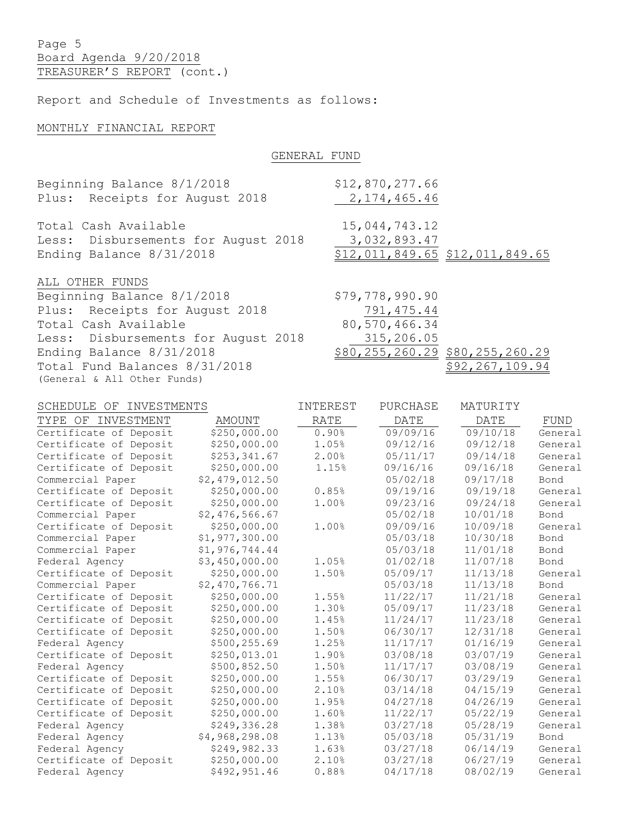Page 5 Board Agenda 9/20/2018 TREASURER'S REPORT (cont.)

Report and Schedule of Investments as follows:

## MONTHLY FINANCIAL REPORT

## GENERAL FUND

| Beginning Balance 8/1/2018          | \$12,870,277.66 |                                       |
|-------------------------------------|-----------------|---------------------------------------|
| Plus: Receipts for August 2018      | 2, 174, 465.46  |                                       |
| Total Cash Available                | 15,044,743.12   |                                       |
| Less: Disbursements for August 2018 | 3,032,893.47    |                                       |
| Ending Balance 8/31/2018            |                 | \$12,011,849.65 \$12,011,849.65       |
| ALL OTHER FUNDS                     |                 |                                       |
| Beginning Balance 8/1/2018          | \$79,778,990.90 |                                       |
| Plus: Receipts for August 2018      | 791, 475.44     |                                       |
| Total Cash Available                | 80, 570, 466.34 |                                       |
| Less: Disbursements for August 2018 | 315,206.05      |                                       |
| Ending Balance 8/31/2018            |                 | \$80, 255, 260. 29 \$80, 255, 260. 29 |
| Total Fund Balances 8/31/2018       |                 | \$92,267,109.94                       |

(General & All Other Funds)

| INVESTMENTS<br>SCHEDULE OF |                | INTEREST | PURCHASE | MATURITY |         |
|----------------------------|----------------|----------|----------|----------|---------|
| TYPE OF INVESTMENT         | AMOUNT         | RATE     | DATE     | DATE     | FUND    |
| Certificate of Deposit     | \$250,000.00   | 0.90%    | 09/09/16 | 09/10/18 | General |
| Certificate of Deposit     | \$250,000.00   | 1.05%    | 09/12/16 | 09/12/18 | General |
| Certificate of Deposit     | \$253,341.67   | 2.00%    | 05/11/17 | 09/14/18 | General |
| Certificate of Deposit     | \$250,000.00   | 1.15%    | 09/16/16 | 09/16/18 | General |
| Commercial Paper           | \$2,479,012.50 |          | 05/02/18 | 09/17/18 | Bond    |
| Certificate of Deposit     | \$250,000.00   | 0.85%    | 09/19/16 | 09/19/18 | General |
| Certificate of Deposit     | \$250,000.00   | 1.00%    | 09/23/16 | 09/24/18 | General |
| Commercial Paper           | \$2,476,566.67 |          | 05/02/18 | 10/01/18 | Bond    |
| Certificate of Deposit     | \$250,000.00   | 1.00%    | 09/09/16 | 10/09/18 | General |
| Commercial Paper           | \$1,977,300.00 |          | 05/03/18 | 10/30/18 | Bond    |
| Commercial Paper           | \$1,976,744.44 |          | 05/03/18 | 11/01/18 | Bond    |
| Federal Agency             | \$3,450,000.00 | 1.05%    | 01/02/18 | 11/07/18 | Bond    |
| Certificate of Deposit     | \$250,000.00   | 1.50%    | 05/09/17 | 11/13/18 | General |
| Commercial Paper           | \$2,470,766.71 |          | 05/03/18 | 11/13/18 | Bond    |
| Certificate of Deposit     | \$250,000.00   | 1.55%    | 11/22/17 | 11/21/18 | General |
| Certificate of Deposit     | \$250,000.00   | 1.30%    | 05/09/17 | 11/23/18 | General |
| Certificate of Deposit     | \$250,000.00   | 1.45%    | 11/24/17 | 11/23/18 | General |
| Certificate of Deposit     | \$250,000.00   | 1.50%    | 06/30/17 | 12/31/18 | General |
| Federal Agency             | \$500,255.69   | 1.25%    | 11/17/17 | 01/16/19 | General |
| Certificate of Deposit     | \$250,013.01   | 1.90%    | 03/08/18 | 03/07/19 | General |
| Federal Agency             | \$500,852.50   | 1.50%    | 11/17/17 | 03/08/19 | General |
| Certificate of Deposit     | \$250,000.00   | 1.55%    | 06/30/17 | 03/29/19 | General |
| Certificate of Deposit     | \$250,000.00   | 2.10%    | 03/14/18 | 04/15/19 | General |
| Certificate of Deposit     | \$250,000.00   | 1.95%    | 04/27/18 | 04/26/19 | General |
| Certificate of Deposit     | \$250,000.00   | 1.60%    | 11/22/17 | 05/22/19 | General |
| Federal Agency             | \$249,336.28   | 1.38%    | 03/27/18 | 05/28/19 | General |
| Federal Agency             | \$4,968,298.08 | 1.13%    | 05/03/18 | 05/31/19 | Bond    |
| Federal Agency             | \$249,982.33   | 1.63%    | 03/27/18 | 06/14/19 | General |
| Certificate of Deposit     | \$250,000.00   | 2.10%    | 03/27/18 | 06/27/19 | General |
| Federal Agency             | \$492,951.46   | 0.88%    | 04/17/18 | 08/02/19 | General |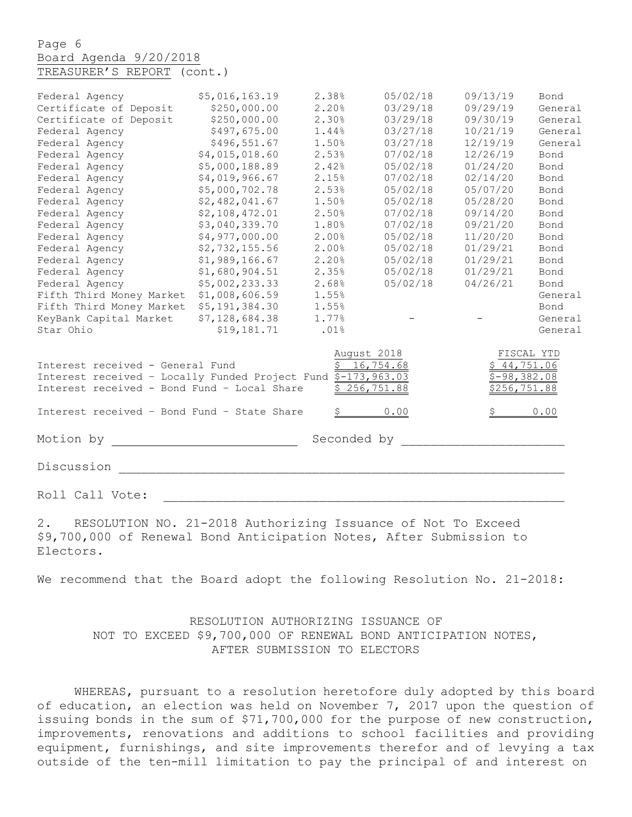Page 6 Board Agenda 9/20/2018 TREASURER'S REPORT (cont.)

| Federal Agency                                                | \$5,016,163.19 | 2.38% | 05/02/18                  | 09/13/19      | Bond       |
|---------------------------------------------------------------|----------------|-------|---------------------------|---------------|------------|
| Certificate of Deposit                                        | \$250,000.00   | 2.20% | 03/29/18                  | 09/29/19      | General    |
| Certificate of Deposit                                        | \$250,000.00   | 2.30% | 03/29/18                  | 09/30/19      | General    |
| Federal Agency                                                | \$497,675.00   | 1.44% | 03/27/18                  | 10/21/19      | General    |
| Federal Agency                                                | \$496,551.67   | 1.50% | 03/27/18                  | 12/19/19      | General    |
| Federal Agency                                                | \$4,015,018.60 | 2.53% | 07/02/18                  | 12/26/19      | Bond       |
| Federal Agency                                                | \$5,000,188.89 | 2.42% | 05/02/18                  | 01/24/20      | Bond       |
| Federal Agency                                                | \$4,019,966.67 | 2.15% | 07/02/18                  | 02/14/20      | Bond       |
| Federal Agency                                                | \$5,000,702.78 | 2.53% | 05/02/18                  | 05/07/20      | Bond       |
| Federal Agency                                                | \$2,482,041.67 | 1.50% | 05/02/18                  | 05/28/20      | Bond       |
| Federal Agency                                                | \$2,108,472.01 | 2.50% | 07/02/18                  | 09/14/20      | Bond       |
| Federal Agency                                                | \$3,040,339.70 | 1.80% | 07/02/18                  | 09/21/20      | Bond       |
| Federal Agency                                                | \$4,977,000.00 | 2.00% | 05/02/18                  | 11/20/20      | Bond       |
| Federal Agency                                                | \$2,732,155.56 | 2.00% | 05/02/18                  | 01/29/21      | Bond       |
| Federal Agency                                                | \$1,989,166.67 | 2.20% | 05/02/18                  | 01/29/21      | Bond       |
| Federal Agency                                                | \$1,680,904.51 | 2.35% | 05/02/18                  | 01/29/21      | Bond       |
| Federal Agency                                                | \$5,002,233.33 | 2.68% | 05/02/18                  | 04/26/21      | Bond       |
| Fifth Third Money Market                                      | \$1,008,606.59 | 1.55% |                           |               | General    |
| Fifth Third Money Market                                      | \$5,191,384.30 | 1.55% |                           |               | Bond       |
| KeyBank Capital Market                                        | \$7,128,684.38 | 1.77% |                           |               | General    |
| Star Ohio                                                     | \$19,181.71    | .01%  |                           |               | General    |
|                                                               |                |       | August 2018               |               | FISCAL YTD |
| Interest received - General Fund                              |                |       | $\overline{5}$ 16, 754.68 | \$44,751.06   |            |
| Interest received - Locally Funded Project Fund \$-173,963.03 |                |       |                           | $$-98,382.08$ |            |
| Interest received - Bond Fund - Local Share                   |                |       | \$256,751.88              | \$256,751.88  |            |
|                                                               |                |       |                           |               |            |
| Interest received - Bond Fund - State Share                   |                |       | 0.00                      |               | 0.00       |
|                                                               |                |       |                           |               |            |
| Motion by                                                     | Seconded by    |       |                           |               |            |
| Discussion                                                    |                |       |                           |               |            |
|                                                               |                |       |                           |               |            |

Roll Call Vote:

2. RESOLUTION NO. 21-2018 Authorizing Issuance of Not To Exceed \$9,700,000 of Renewal Bond Anticipation Notes, After Submission to Electors.

We recommend that the Board adopt the following Resolution No. 21-2018:

## RESOLUTION AUTHORIZING ISSUANCE OF NOT TO EXCEED \$9,700,000 OF RENEWAL BOND ANTICIPATION NOTES, AFTER SUBMISSION TO ELECTORS

WHEREAS, pursuant to a resolution heretofore duly adopted by this board of education, an election was held on November 7, 2017 upon the question of issuing bonds in the sum of \$71,700,000 for the purpose of new construction, improvements, renovations and additions to school facilities and providing equipment, furnishings, and site improvements therefor and of levying a tax outside of the ten-mill limitation to pay the principal of and interest on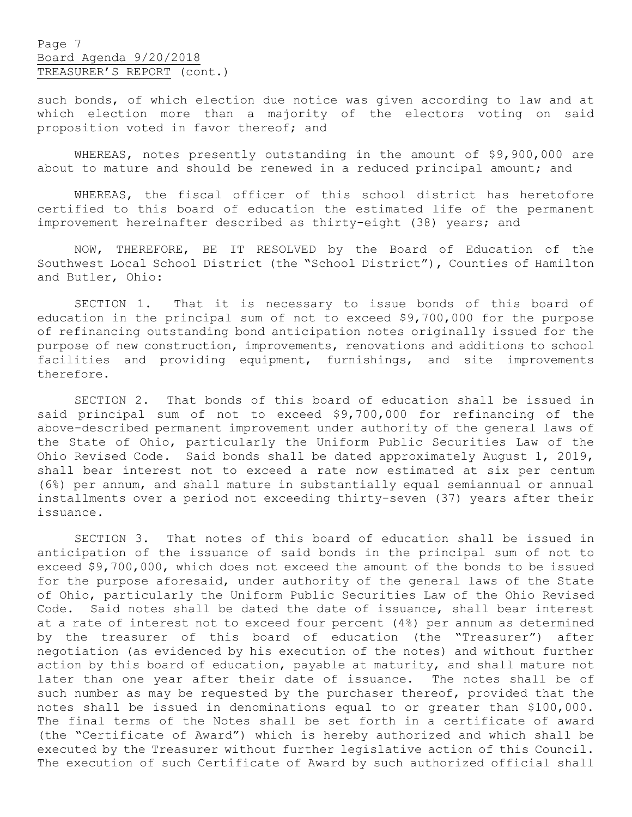Page 7 Board Agenda 9/20/2018 TREASURER'S REPORT (cont.)

such bonds, of which election due notice was given according to law and at which election more than a majority of the electors voting on said proposition voted in favor thereof; and

WHEREAS, notes presently outstanding in the amount of \$9,900,000 are about to mature and should be renewed in a reduced principal amount; and

WHEREAS, the fiscal officer of this school district has heretofore certified to this board of education the estimated life of the permanent improvement hereinafter described as thirty-eight (38) years; and

NOW, THEREFORE, BE IT RESOLVED by the Board of Education of the Southwest Local School District (the "School District"), Counties of Hamilton and Butler, Ohio:

SECTION 1. That it is necessary to issue bonds of this board of education in the principal sum of not to exceed \$9,700,000 for the purpose of refinancing outstanding bond anticipation notes originally issued for the purpose of new construction, improvements, renovations and additions to school facilities and providing equipment, furnishings, and site improvements therefore.

SECTION 2. That bonds of this board of education shall be issued in said principal sum of not to exceed \$9,700,000 for refinancing of the above-described permanent improvement under authority of the general laws of the State of Ohio, particularly the Uniform Public Securities Law of the Ohio Revised Code. Said bonds shall be dated approximately August 1, 2019, shall bear interest not to exceed a rate now estimated at six per centum (6%) per annum, and shall mature in substantially equal semiannual or annual installments over a period not exceeding thirty-seven (37) years after their issuance.

SECTION 3. That notes of this board of education shall be issued in anticipation of the issuance of said bonds in the principal sum of not to exceed \$9,700,000, which does not exceed the amount of the bonds to be issued for the purpose aforesaid, under authority of the general laws of the State of Ohio, particularly the Uniform Public Securities Law of the Ohio Revised Code. Said notes shall be dated the date of issuance, shall bear interest at a rate of interest not to exceed four percent (4%) per annum as determined by the treasurer of this board of education (the "Treasurer") after negotiation (as evidenced by his execution of the notes) and without further action by this board of education, payable at maturity, and shall mature not later than one year after their date of issuance. The notes shall be of such number as may be requested by the purchaser thereof, provided that the notes shall be issued in denominations equal to or greater than \$100,000. The final terms of the Notes shall be set forth in a certificate of award (the "Certificate of Award") which is hereby authorized and which shall be executed by the Treasurer without further legislative action of this Council. The execution of such Certificate of Award by such authorized official shall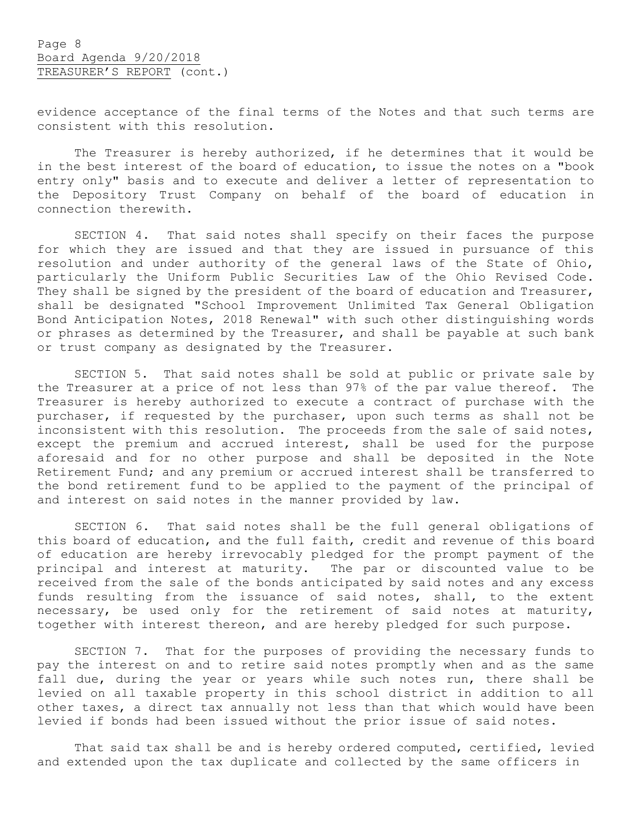evidence acceptance of the final terms of the Notes and that such terms are consistent with this resolution.

The Treasurer is hereby authorized, if he determines that it would be in the best interest of the board of education, to issue the notes on a "book entry only" basis and to execute and deliver a letter of representation to the Depository Trust Company on behalf of the board of education in connection therewith.

SECTION 4. That said notes shall specify on their faces the purpose for which they are issued and that they are issued in pursuance of this resolution and under authority of the general laws of the State of Ohio, particularly the Uniform Public Securities Law of the Ohio Revised Code. They shall be signed by the president of the board of education and Treasurer, shall be designated "School Improvement Unlimited Tax General Obligation Bond Anticipation Notes, 2018 Renewal" with such other distinguishing words or phrases as determined by the Treasurer, and shall be payable at such bank or trust company as designated by the Treasurer.

SECTION 5. That said notes shall be sold at public or private sale by the Treasurer at a price of not less than 97% of the par value thereof. The Treasurer is hereby authorized to execute a contract of purchase with the purchaser, if requested by the purchaser, upon such terms as shall not be inconsistent with this resolution. The proceeds from the sale of said notes, except the premium and accrued interest, shall be used for the purpose aforesaid and for no other purpose and shall be deposited in the Note Retirement Fund; and any premium or accrued interest shall be transferred to the bond retirement fund to be applied to the payment of the principal of and interest on said notes in the manner provided by law.

SECTION 6. That said notes shall be the full general obligations of this board of education, and the full faith, credit and revenue of this board of education are hereby irrevocably pledged for the prompt payment of the principal and interest at maturity. The par or discounted value to be received from the sale of the bonds anticipated by said notes and any excess funds resulting from the issuance of said notes, shall, to the extent necessary, be used only for the retirement of said notes at maturity, together with interest thereon, and are hereby pledged for such purpose.

SECTION 7. That for the purposes of providing the necessary funds to pay the interest on and to retire said notes promptly when and as the same fall due, during the year or years while such notes run, there shall be levied on all taxable property in this school district in addition to all other taxes, a direct tax annually not less than that which would have been levied if bonds had been issued without the prior issue of said notes.

That said tax shall be and is hereby ordered computed, certified, levied and extended upon the tax duplicate and collected by the same officers in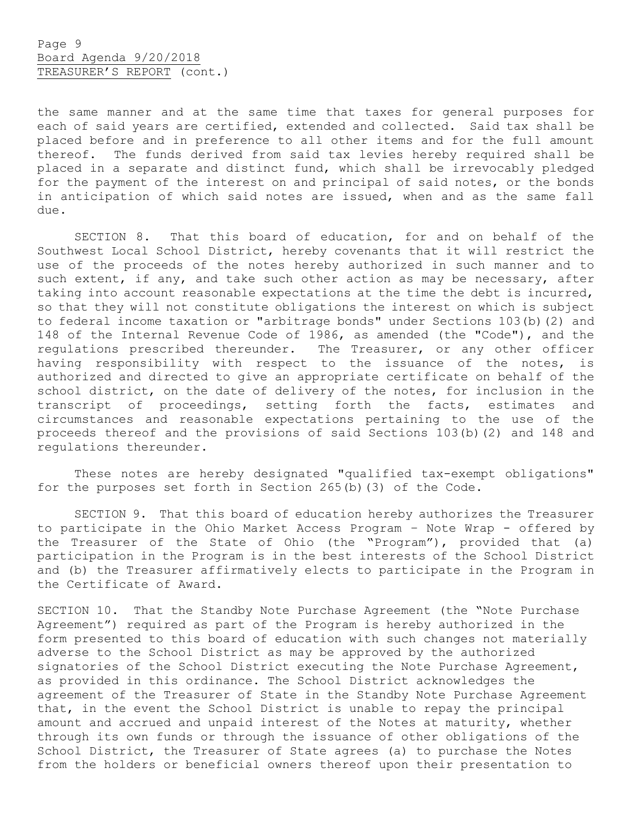the same manner and at the same time that taxes for general purposes for each of said years are certified, extended and collected. Said tax shall be placed before and in preference to all other items and for the full amount thereof. The funds derived from said tax levies hereby required shall be placed in a separate and distinct fund, which shall be irrevocably pledged for the payment of the interest on and principal of said notes, or the bonds in anticipation of which said notes are issued, when and as the same fall due.

SECTION 8. That this board of education, for and on behalf of the Southwest Local School District, hereby covenants that it will restrict the use of the proceeds of the notes hereby authorized in such manner and to such extent, if any, and take such other action as may be necessary, after taking into account reasonable expectations at the time the debt is incurred, so that they will not constitute obligations the interest on which is subject to federal income taxation or "arbitrage bonds" under Sections 103(b)(2) and 148 of the Internal Revenue Code of 1986, as amended (the "Code"), and the regulations prescribed thereunder. The Treasurer, or any other officer having responsibility with respect to the issuance of the notes, is authorized and directed to give an appropriate certificate on behalf of the school district, on the date of delivery of the notes, for inclusion in the transcript of proceedings, setting forth the facts, estimates and circumstances and reasonable expectations pertaining to the use of the proceeds thereof and the provisions of said Sections 103(b)(2) and 148 and regulations thereunder.

These notes are hereby designated "qualified tax-exempt obligations" for the purposes set forth in Section 265(b)(3) of the Code.

SECTION 9. That this board of education hereby authorizes the Treasurer to participate in the Ohio Market Access Program – Note Wrap - offered by the Treasurer of the State of Ohio (the "Program"), provided that (a) participation in the Program is in the best interests of the School District and (b) the Treasurer affirmatively elects to participate in the Program in the Certificate of Award.

SECTION 10. That the Standby Note Purchase Agreement (the "Note Purchase Agreement") required as part of the Program is hereby authorized in the form presented to this board of education with such changes not materially adverse to the School District as may be approved by the authorized signatories of the School District executing the Note Purchase Agreement, as provided in this ordinance. The School District acknowledges the agreement of the Treasurer of State in the Standby Note Purchase Agreement that, in the event the School District is unable to repay the principal amount and accrued and unpaid interest of the Notes at maturity, whether through its own funds or through the issuance of other obligations of the School District, the Treasurer of State agrees (a) to purchase the Notes from the holders or beneficial owners thereof upon their presentation to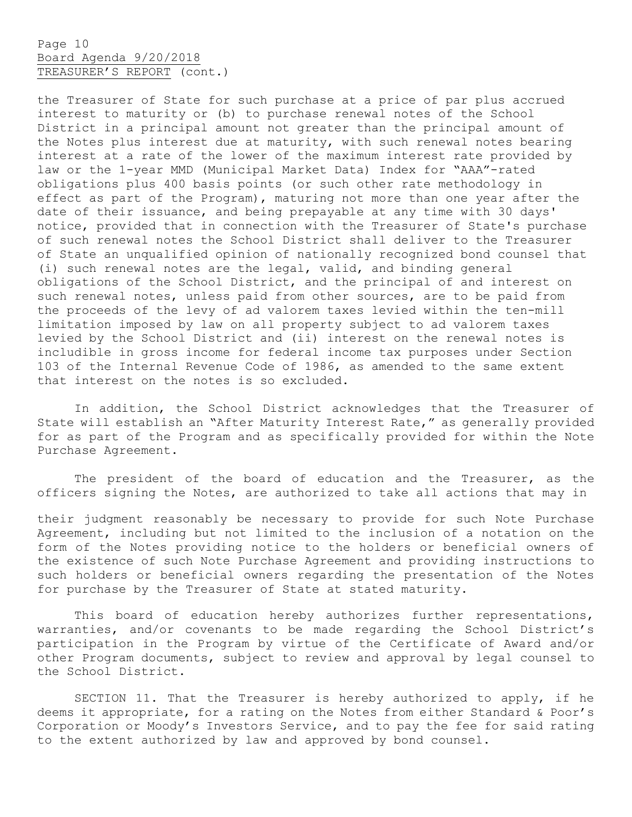Page 10 Board Agenda 9/20/2018 TREASURER'S REPORT (cont.)

the Treasurer of State for such purchase at a price of par plus accrued interest to maturity or (b) to purchase renewal notes of the School District in a principal amount not greater than the principal amount of the Notes plus interest due at maturity, with such renewal notes bearing interest at a rate of the lower of the maximum interest rate provided by law or the 1-year MMD (Municipal Market Data) Index for "AAA"-rated obligations plus 400 basis points (or such other rate methodology in effect as part of the Program), maturing not more than one year after the date of their issuance, and being prepayable at any time with 30 days' notice, provided that in connection with the Treasurer of State's purchase of such renewal notes the School District shall deliver to the Treasurer of State an unqualified opinion of nationally recognized bond counsel that (i) such renewal notes are the legal, valid, and binding general obligations of the School District, and the principal of and interest on such renewal notes, unless paid from other sources, are to be paid from the proceeds of the levy of ad valorem taxes levied within the ten-mill limitation imposed by law on all property subject to ad valorem taxes levied by the School District and (ii) interest on the renewal notes is includible in gross income for federal income tax purposes under Section 103 of the Internal Revenue Code of 1986, as amended to the same extent that interest on the notes is so excluded.

In addition, the School District acknowledges that the Treasurer of State will establish an "After Maturity Interest Rate," as generally provided for as part of the Program and as specifically provided for within the Note Purchase Agreement.

The president of the board of education and the Treasurer, as the officers signing the Notes, are authorized to take all actions that may in

their judgment reasonably be necessary to provide for such Note Purchase Agreement, including but not limited to the inclusion of a notation on the form of the Notes providing notice to the holders or beneficial owners of the existence of such Note Purchase Agreement and providing instructions to such holders or beneficial owners regarding the presentation of the Notes for purchase by the Treasurer of State at stated maturity.

This board of education hereby authorizes further representations, warranties, and/or covenants to be made regarding the School District's participation in the Program by virtue of the Certificate of Award and/or other Program documents, subject to review and approval by legal counsel to the School District.

SECTION 11. That the Treasurer is hereby authorized to apply, if he deems it appropriate, for a rating on the Notes from either Standard & Poor's Corporation or Moody's Investors Service, and to pay the fee for said rating to the extent authorized by law and approved by bond counsel.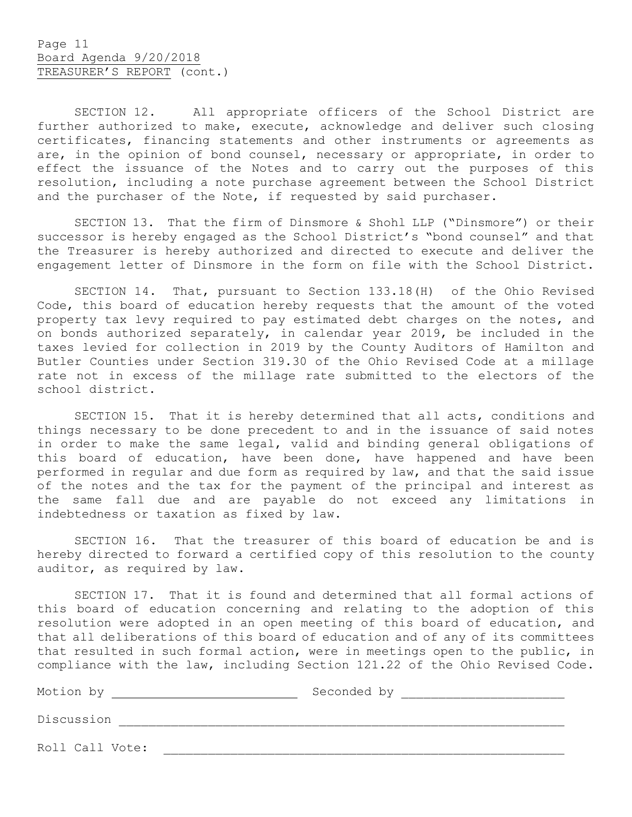SECTION 12. All appropriate officers of the School District are further authorized to make, execute, acknowledge and deliver such closing certificates, financing statements and other instruments or agreements as are, in the opinion of bond counsel, necessary or appropriate, in order to effect the issuance of the Notes and to carry out the purposes of this resolution, including a note purchase agreement between the School District and the purchaser of the Note, if requested by said purchaser.

SECTION 13. That the firm of Dinsmore & Shohl LLP ("Dinsmore") or their successor is hereby engaged as the School District's "bond counsel" and that the Treasurer is hereby authorized and directed to execute and deliver the engagement letter of Dinsmore in the form on file with the School District.

SECTION 14. That, pursuant to Section 133.18(H) of the Ohio Revised Code, this board of education hereby requests that the amount of the voted property tax levy required to pay estimated debt charges on the notes, and on bonds authorized separately, in calendar year 2019, be included in the taxes levied for collection in 2019 by the County Auditors of Hamilton and Butler Counties under Section 319.30 of the Ohio Revised Code at a millage rate not in excess of the millage rate submitted to the electors of the school district.

SECTION 15. That it is hereby determined that all acts, conditions and things necessary to be done precedent to and in the issuance of said notes in order to make the same legal, valid and binding general obligations of this board of education, have been done, have happened and have been performed in regular and due form as required by law, and that the said issue of the notes and the tax for the payment of the principal and interest as the same fall due and are payable do not exceed any limitations in indebtedness or taxation as fixed by law.

SECTION 16. That the treasurer of this board of education be and is hereby directed to forward a certified copy of this resolution to the county auditor, as required by law.

SECTION 17. That it is found and determined that all formal actions of this board of education concerning and relating to the adoption of this resolution were adopted in an open meeting of this board of education, and that all deliberations of this board of education and of any of its committees that resulted in such formal action, were in meetings open to the public, in compliance with the law, including Section 121.22 of the Ohio Revised Code.

| Motion by       | Seconded by |
|-----------------|-------------|
| Discussion      |             |
| Roll Call Vote: |             |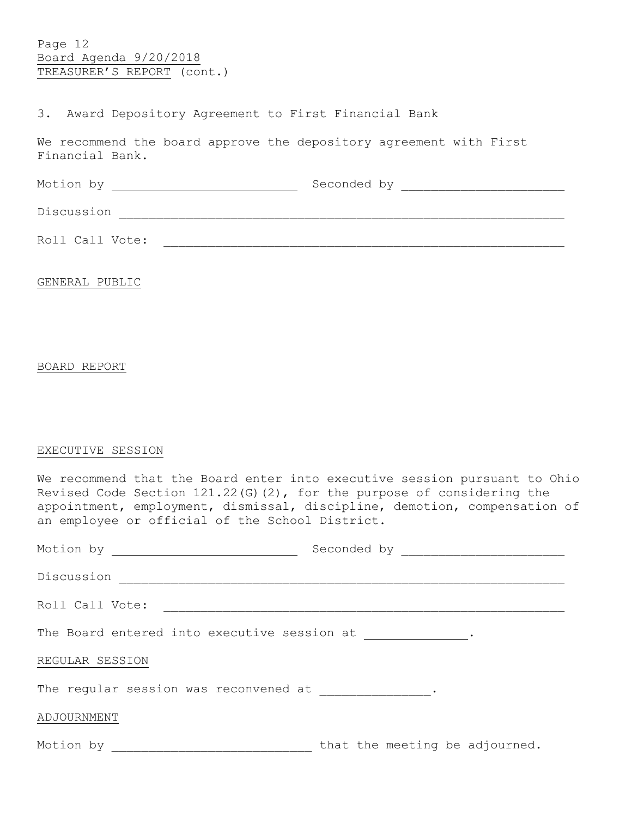Page 12 Board Agenda 9/20/2018 TREASURER'S REPORT (cont.)

# 3. Award Depository Agreement to First Financial Bank

We recommend the board approve the depository agreement with First Financial Bank.

| Motion by       | Seconded by |  |  |
|-----------------|-------------|--|--|
| Discussion      |             |  |  |
| Roll Call Vote: |             |  |  |

GENERAL PUBLIC

## BOARD REPORT

## EXECUTIVE SESSION

| We recommend that the Board enter into executive session pursuant to Ohio |  |
|---------------------------------------------------------------------------|--|
| Revised Code Section $121.22(G)(2)$ , for the purpose of considering the  |  |
| appointment, employment, dismissal, discipline, demotion, compensation of |  |
| an employee or official of the School District.                           |  |
|                                                                           |  |

| Motion by <u>___________________</u>                                        | Seconded by _________________  |  |  |
|-----------------------------------------------------------------------------|--------------------------------|--|--|
| Discussion                                                                  |                                |  |  |
| Roll Call Vote:                                                             |                                |  |  |
| The Board entered into executive session at                                 |                                |  |  |
| REGULAR SESSION                                                             |                                |  |  |
| The regular session was reconvened at The regular session was reconvened at |                                |  |  |
| ADJOURNMENT                                                                 |                                |  |  |
| Motion by                                                                   | that the meeting be adjourned. |  |  |